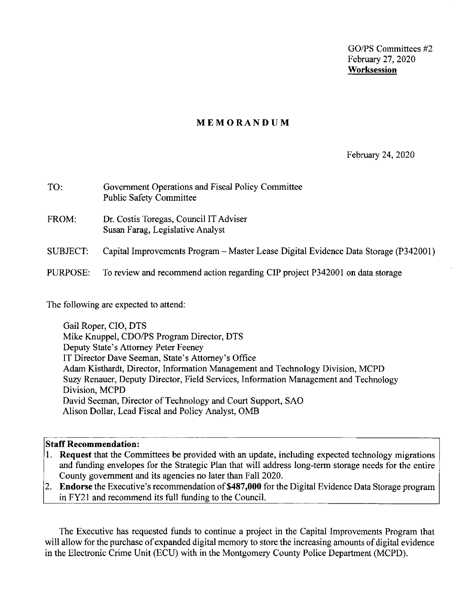GO/PS Committees #2 February 27, 2020 **Worksession** 

#### **MEMORANDUM**

#### February 24, 2020

| TO:             | Government Operations and Fiscal Policy Committee<br><b>Public Safety Committee</b> |
|-----------------|-------------------------------------------------------------------------------------|
| FROM:           | Dr. Costis Toregas, Council IT Adviser<br>Susan Farag, Legislative Analyst          |
| <b>SUBJECT:</b> | Capital Improvements Program – Master Lease Digital Evidence Data Storage (P342001) |
| PURPOSE:        | To review and recommend action regarding CIP project P342001 on data storage        |

The following are expected to attend:

Gail Roper, CIO, DTS Mike Knuppel, COO/PS Program Director, DTS Deputy State's Attorney Peter Feeney IT Director Dave Seeman, State's Attorney's Office Adam Kisthardt, Director, Information Management and Technology Division, MCPD Suzy Renauer, Deputy Director, Field Services, Information Management and Technology Division, MCPD David Seeman, Director of Technology and Court Support, SAO Alison Dollar, Lead Fiscal and Policy Analyst, 0MB

#### **Staff Recommendation:**

- I. **Request** that the Committees be provided with an update, including expected technology migrations and funding envelopes for the Strategic Plan that will address long-term storage needs for the entire County government and its agencies no later than Fall 2020.
- 2. **Endorse** the Executive's recommendation **of\$487,000** for the Digital Evidence Data Storage program in FY21 and recommend its full funding to the Council.

The Executive has requested funds to continue a project in the Capital Improvements Program that will allow for the purchase of expanded digital memory to store the increasing amounts of digital evidence in the Electronic Crime Unit (ECU) with in the Montgomery County Police Department (MCPD).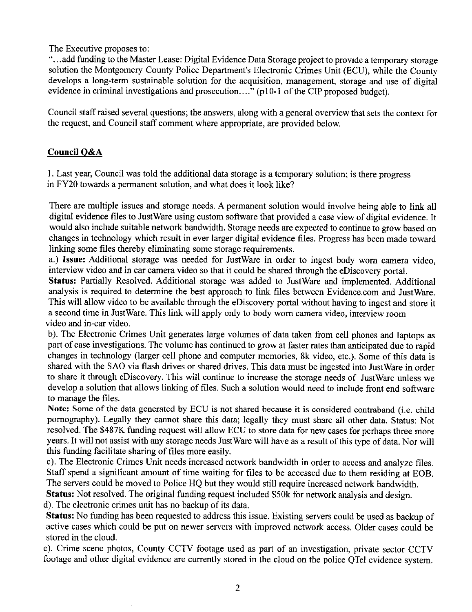The Executive proposes to:

"...add funding to the Master Lease: Digital Evidence Data Storage project to provide a temporary storage solution the Montgomery County Police Department's Electronic Crimes Unit (ECU), while the County develops a long-term sustainable solution for the acquisition, management, storage and use of digital evidence in criminal investigations and prosecution...." (p10-1 of the CIP proposed budget).

Council staff raised several questions; the answers, along with a general overview that sets the context for the request, and Council staff comment where appropriate, are provided below.

#### **Counci!O&A**

I. Last year, Council was told the additional data storage is a temporary solution; is there progress in FY20 towards a permanent solution, and what does it look like?

There are multiple issues and storage needs. A permanent solution would involve being able to link all digital evidence files to Just Ware using custom software that provided a case view of digital evidence. It would also include suitable network bandwidth. Storage needs are expected to continue to grow based on changes in technology which result in ever larger digital evidence files. Progress has been made toward linking some files thereby eliminating some storage requirements.

a.) **Issue:** Additional storage was needed for Just Ware in order to ingest body worn camera video, interview video and in car camera video so that it could be shared through the eDiscovery portal.

**Status:** Partially Resolved. Additional storage was added to JustWare and implemented. Additional analysis is required to determine the best approach to link files between Evidence.com and Just Ware. This will allow video to be available through the eDiscovery portal without having to ingest and store it a second time in JustWare. This link will apply only to body worn camera video, interview room video and in-car video.

b ). The Electronic Crimes Unit generates large volumes of data taken from cell phones and laptops as part of case investigations. The volume has continued to grow at faster rates than anticipated due to rapid changes in technology (larger cell phone and computer memories, 8k video, etc.). Some of this data is shared with the SAO via flash drives or shared drives. This data must be ingested into Just Ware in order to share it through eDiscovery. This will continue to increase the storage needs of JustWare unless we develop a solution that allows linking of files. Such a solution would need to include front end software to manage the files.

**Note:** Some of the data generated by ECU is not shared because it is considered contraband (i.e. child pornography). Legally they cannot share this data; legally they must share all other data. Status: Not resolved. The \$487K funding request will allow ECU to store data for new cases for perhaps three more years. It will not assist with any storage needs Just Ware will have as a result of this type of data. Nor will this funding facilitate sharing of files more easily.

c). The Electronic Crimes Unit needs increased network bandwidth in order to access and analyze files. Staff spend a significant amount of time waiting for files to be accessed due to them residing at EOB. The servers could be moved to Police HQ but they would still require increased network bandwidth. **Status:** Not resolved. The original funding request included \$50k for network analysis and design.

d). The electronic crimes unit has no backup of its data.

**Status:** No funding has been requested to address this issue. Existing servers could be used as backup of active cases which could be put on newer servers with improved network access. Older cases could be stored in the cloud.

e). Crime scene photos, County CCTV footage used as part of an investigation, private sector CCTV footage and other digital evidence are currently stored in the cloud on the police QTel evidence system.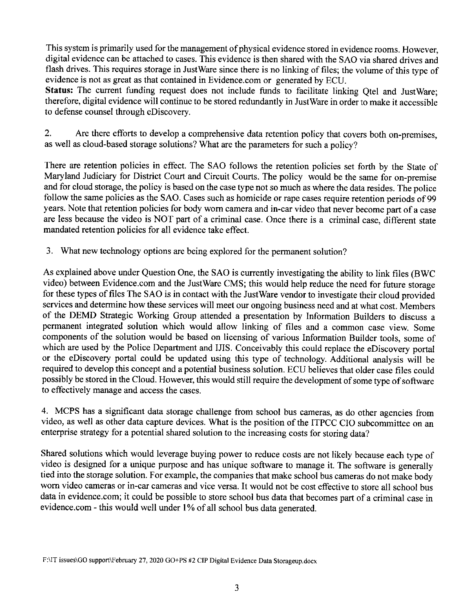This system is primarily used for the management of physical evidence stored in evidence rooms. However, digital evidence can be attached to cases. This evidence is then shared with the SAO via shared drives and flash drives. This requires storage in Just Ware since there is no linking of files; the volume of this type of evidence is not as great as that contained in Evidence.com or generated by ECU.

Status: The current funding request does not include funds to facilitate linking Qtel and Just Ware; therefore, digital evidence will continue to be stored redundantly in Just Ware in order to make it accessible to defense counsel through eDiscovery.

2. Are there efforts to develop a comprehensive data retention policy that covers both on-premises, as well as cloud-based storage solutions? What are the parameters for such a policy?

There are retention policies in effect. The SAO follows the retention policies set forth by the State of Maryland Judiciary for District Court and Circuit Courts. The policy would be the same for on-premise and for cloud storage, the policy is based on the case type not so much as where the data resides. The police follow the same policies as the SAO. Cases such as homicide or rape cases require retention periods of 99 years. Note that retention policies for body worn camera and in-car video that never become part of a case are less because the video is NOT part of a criminal case. Once there is a criminal case, different state mandated retention policies for all evidence take effect.

3. What new technology options are being explored for the permanent solution?

As explained above under Question One, the SAO is currently investigating the ability to link files (BWC video) between Evidence.com and the Just Ware CMS; this would help reduce the need for future storage for these types of files The SAO is in contact with the Just Ware vendor to investigate their cloud provided services and determine how these services will meet our ongoing business need and at what cost. Members of the DEMD Strategic Working Group attended a presentation by Information Builders to discuss a permanent integrated solution which would allow linking of files and a common case view. Some components of the solution would be based on licensing of various Information Builder tools, some of which are used by the Police Department and IJIS. Conceivably this could replace the eDiscovery portal or the eDiscovery portal could be updated using this type of technology. Additional analysis will be required to develop this concept and a potential business solution. ECU believes that older case files could possibly be stored in the Cloud. However, this would still require the development of some type of software to effectively manage and access the cases.

4. MCPS has a significant data storage challenge from school bus cameras, as do other agencies from video, as well as other data capture devices. What is the position of the ITPCC CIO subcommittee on an enterprise strategy for a potential shared solution to the increasing costs for storing data?

Shared solutions which would leverage buying power to reduce costs are not likely because each type of video is designed for a unique purpose and has unique software to manage it. The software is generally tied into the storage solution. For example, the companies that make school bus cameras do not make body worn video cameras or in-car cameras and vice versa. It would not be cost effective to store all school bus data in evidence.com; it could be possible to store school bus data that becomes part of a criminal case in evidence.com - this would well under **1** % of all school bus data generated.

F:IIT issues\GO support\February 27, 2020 GO+PS #2 CJP Digital Evidence Data Storageup.docx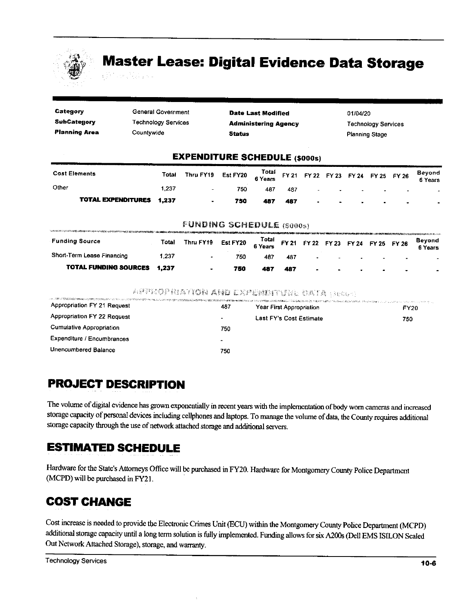

# **Master Lease: Digital Evidence Data Storage**

| Category             | General Government                 | <b>Date Last Modified</b>            | 01/04/20                                                                                                                                                                                                                                  |
|----------------------|------------------------------------|--------------------------------------|-------------------------------------------------------------------------------------------------------------------------------------------------------------------------------------------------------------------------------------------|
| SubCategory          | <b>Technology Services</b>         | <b>Administering Agency</b>          | <b>Technology Services</b>                                                                                                                                                                                                                |
| <b>Planning Area</b> | Countywide                         | <b>Status</b>                        | <b>Planning Stage</b>                                                                                                                                                                                                                     |
|                      |                                    | <b>EXPENDITURE SCHEDULE (\$000s)</b> |                                                                                                                                                                                                                                           |
| Cost Flamente        | $T - 1 - 1$<br><b>STELL PARAGE</b> | Total<br>- - - - - - -               | Bevond<br>$\sim$ . The contract of the contract of the contract of the contract of the contract of the contract of the contract of the contract of the contract of the contract of the contract of the contract of the contract of the co |

| <b>Cost Elements</b><br>Other   | Total | Thru FY19 Est FY20 $\frac{Total}{6 \text{ Years}}$ FY 21 FY 22 FY 23 FY 24 FY 25 FY 26 |     |     |     |                |                                              |                          | Beyond<br>6 Years |
|---------------------------------|-------|----------------------------------------------------------------------------------------|-----|-----|-----|----------------|----------------------------------------------|--------------------------|-------------------|
|                                 | 1.237 |                                                                                        | 750 | 487 | 487 |                | the control of the control of the control of | <b>Contract Contract</b> |                   |
| <b>TOTAL EXPENDITURES 1.237</b> |       |                                                                                        | 750 | 487 | 487 | $\blacksquare$ |                                              |                          | $\blacksquare$    |

#### **FUNDING SCHEDULE (\$000s)**

| <b>Funding Source</b>        | Total | Thru FY19 | Est FY20 $\begin{array}{cc} \text{Total} \\ \text{6 Years} \end{array}$ FY 21 FY 22 FY 23 FY 24 FY 25 FY 26 |     |     |  |                          |  |                          |     | Beyond<br>6 Years |
|------------------------------|-------|-----------|-------------------------------------------------------------------------------------------------------------|-----|-----|--|--------------------------|--|--------------------------|-----|-------------------|
| Short-Term Lease Financing   | .237  |           | 750                                                                                                         | 487 | 487 |  | $\overline{\phantom{a}}$ |  | $\overline{\phantom{a}}$ | . . |                   |
| <b>TOTAL FUNDING SOURCES</b> | 1.237 |           | 750                                                                                                         |     | 487 |  | $\blacksquare$           |  | $\sim$                   |     |                   |

#### APPROPRIATION AND EXPENISITURE UATA (Securi

| штонномиканы менен тарып келип келип келип келип келип келип келип келип келип келип келип келип келип келип келип келип келип келип келип келип келип келип келип келип келип келип келип келип келип келип келип келип кел<br>Appropriation FY 21 Request | 487 | Year First Appropriation | <b>FY20</b> |
|-------------------------------------------------------------------------------------------------------------------------------------------------------------------------------------------------------------------------------------------------------------|-----|--------------------------|-------------|
| Appropriation FY 22 Request                                                                                                                                                                                                                                 |     | Last FY's Cost Estimate  | 750         |
| <b>Cumulative Appropriation</b>                                                                                                                                                                                                                             | 750 |                          |             |
| Expenditure / Encumbrances                                                                                                                                                                                                                                  | ۰   |                          |             |
| Unencumbered Balance                                                                                                                                                                                                                                        | 750 |                          |             |

### **PROJECT DESCRIPTION**

The volume of digital evidence has grown exponentially in recent years with the implementation of body worn cameras and increased storage capacity of personal devices including cellphones and laptops. To manage the volume of data, the County requires additional storage capacity through the use of network attached storage and additional servers.

### **ESTIMATED SCHEDULE**

Hardware for the State's Attorneys Office will be purchased in FY20. Hardware for Montgomery County Police Department (MCPD) will be purchased in FY21.

### **COST CHANGE**

Cost increase is needed to provide the Electronic Crimes Unit (ECU) within the Montgomery County Police Department (MCPD) additional storage capacity until a long term solution is fully implemented. Funding allows for six A200s (Dell EMS ISILON Scaled Out Network Attached Storage), storage, and warranty.